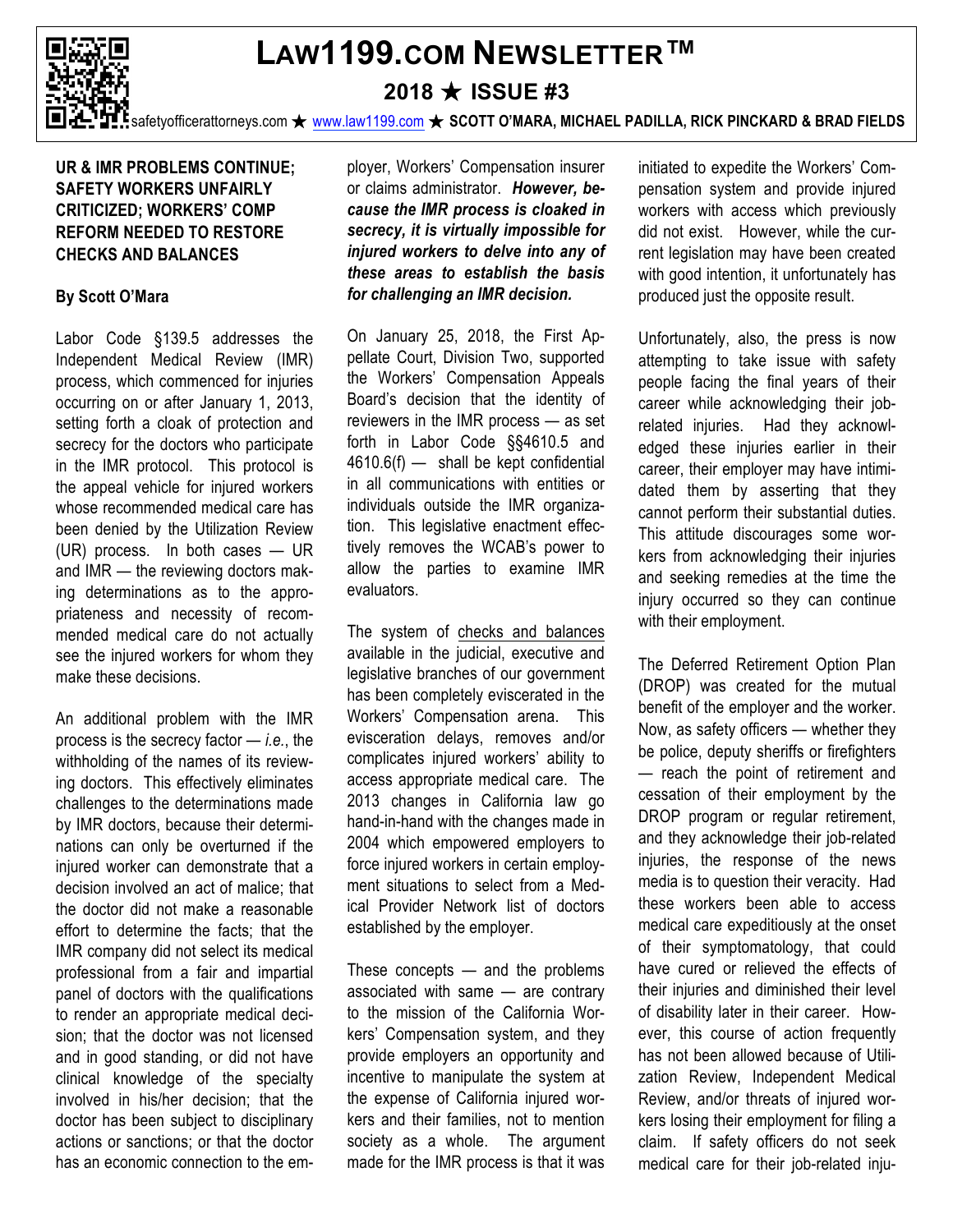

# **LAW1199.COM NEWSLETTER™**

## **2018** ★ **ISSUE #3**

safetyofficerattorneys.com ★ www.law1199.com ★ **SCOTT O'MARA, MICHAEL PADILLA, RICK PINCKARD & BRAD FIELDS**

#### **UR & IMR PROBLEMS CONTINUE; SAFETY WORKERS UNFAIRLY CRITICIZED; WORKERS' COMP REFORM NEEDED TO RESTORE CHECKS AND BALANCES**

#### **By Scott O'Mara**

Labor Code §139.5 addresses the Independent Medical Review (IMR) process, which commenced for injuries occurring on or after January 1, 2013, setting forth a cloak of protection and secrecy for the doctors who participate in the IMR protocol. This protocol is the appeal vehicle for injured workers whose recommended medical care has been denied by the Utilization Review (UR) process. In both cases — UR and IMR — the reviewing doctors making determinations as to the appropriateness and necessity of recommended medical care do not actually see the injured workers for whom they make these decisions.

An additional problem with the IMR process is the secrecy factor — *i.e.*, the withholding of the names of its reviewing doctors. This effectively eliminates challenges to the determinations made by IMR doctors, because their determinations can only be overturned if the injured worker can demonstrate that a decision involved an act of malice; that the doctor did not make a reasonable effort to determine the facts; that the IMR company did not select its medical professional from a fair and impartial panel of doctors with the qualifications to render an appropriate medical decision; that the doctor was not licensed and in good standing, or did not have clinical knowledge of the specialty involved in his/her decision; that the doctor has been subject to disciplinary actions or sanctions; or that the doctor has an economic connection to the employer, Workers' Compensation insurer or claims administrator. *However, because the IMR process is cloaked in secrecy, it is virtually impossible for injured workers to delve into any of these areas to establish the basis for challenging an IMR decision.*

On January 25, 2018, the First Appellate Court, Division Two, supported the Workers' Compensation Appeals Board's decision that the identity of reviewers in the IMR process — as set forth in Labor Code §§4610.5 and 4610.6(f) — shall be kept confidential in all communications with entities or individuals outside the IMR organization. This legislative enactment effectively removes the WCAB's power to allow the parties to examine IMR evaluators.

The system of checks and balances available in the judicial, executive and legislative branches of our government has been completely eviscerated in the Workers' Compensation arena. This evisceration delays, removes and/or complicates injured workers' ability to access appropriate medical care. The 2013 changes in California law go hand-in-hand with the changes made in 2004 which empowered employers to force injured workers in certain employment situations to select from a Medical Provider Network list of doctors established by the employer.

These concepts — and the problems associated with same — are contrary to the mission of the California Workers' Compensation system, and they provide employers an opportunity and incentive to manipulate the system at the expense of California injured workers and their families, not to mention society as a whole. The argument made for the IMR process is that it was

initiated to expedite the Workers' Compensation system and provide injured workers with access which previously did not exist. However, while the current legislation may have been created with good intention, it unfortunately has produced just the opposite result.

Unfortunately, also, the press is now attempting to take issue with safety people facing the final years of their career while acknowledging their jobrelated injuries. Had they acknowledged these injuries earlier in their career, their employer may have intimidated them by asserting that they cannot perform their substantial duties. This attitude discourages some workers from acknowledging their injuries and seeking remedies at the time the injury occurred so they can continue with their employment.

The Deferred Retirement Option Plan (DROP) was created for the mutual benefit of the employer and the worker. Now, as safety officers — whether they be police, deputy sheriffs or firefighters — reach the point of retirement and cessation of their employment by the DROP program or regular retirement, and they acknowledge their job-related injuries, the response of the news media is to question their veracity. Had these workers been able to access medical care expeditiously at the onset of their symptomatology, that could have cured or relieved the effects of their injuries and diminished their level of disability later in their career. However, this course of action frequently has not been allowed because of Utilization Review, Independent Medical Review, and/or threats of injured workers losing their employment for filing a claim. If safety officers do not seek medical care for their job-related inju-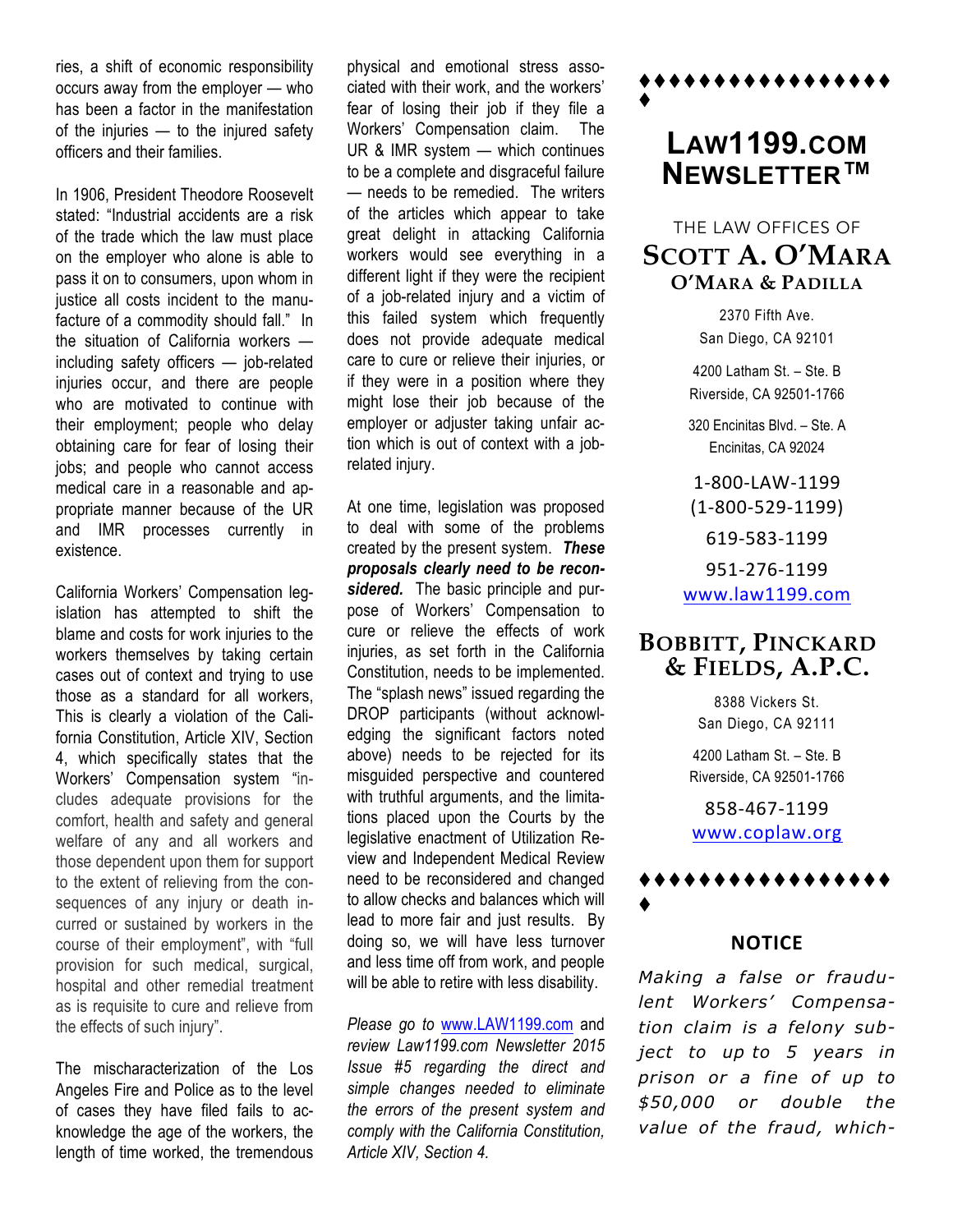ries, a shift of economic responsibility occurs away from the employer — who has been a factor in the manifestation of the injuries — to the injured safety officers and their families.

In 1906, President Theodore Roosevelt stated: "Industrial accidents are a risk of the trade which the law must place on the employer who alone is able to pass it on to consumers, upon whom in justice all costs incident to the manufacture of a commodity should fall." In the situation of California workers including safety officers — job-related injuries occur, and there are people who are motivated to continue with their employment; people who delay obtaining care for fear of losing their jobs; and people who cannot access medical care in a reasonable and appropriate manner because of the UR and IMR processes currently in existence.

California Workers' Compensation legislation has attempted to shift the blame and costs for work injuries to the workers themselves by taking certain cases out of context and trying to use those as a standard for all workers, This is clearly a violation of the California Constitution, Article XIV, Section 4, which specifically states that the Workers' Compensation system "includes adequate provisions for the comfort, health and safety and general welfare of any and all workers and those dependent upon them for support to the extent of relieving from the consequences of any injury or death incurred or sustained by workers in the course of their employment", with "full provision for such medical, surgical, hospital and other remedial treatment as is requisite to cure and relieve from the effects of such injury".

The mischaracterization of the Los Angeles Fire and Police as to the level of cases they have filed fails to acknowledge the age of the workers, the length of time worked, the tremendous physical and emotional stress associated with their work, and the workers' fear of losing their job if they file a Workers' Compensation claim. The UR & IMR system — which continues to be a complete and disgraceful failure — needs to be remedied. The writers of the articles which appear to take great delight in attacking California workers would see everything in a different light if they were the recipient of a job-related injury and a victim of this failed system which frequently does not provide adequate medical care to cure or relieve their injuries, or if they were in a position where they might lose their job because of the employer or adjuster taking unfair action which is out of context with a jobrelated injury.

At one time, legislation was proposed to deal with some of the problems created by the present system. *These proposals clearly need to be reconsidered.* The basic principle and purpose of Workers' Compensation to cure or relieve the effects of work injuries, as set forth in the California Constitution, needs to be implemented. The "splash news" issued regarding the DROP participants (without acknowledging the significant factors noted above) needs to be rejected for its misguided perspective and countered with truthful arguments, and the limitations placed upon the Courts by the legislative enactment of Utilization Review and Independent Medical Review need to be reconsidered and changed to allow checks and balances which will lead to more fair and just results. By doing so, we will have less turnover and less time off from work, and people will be able to retire with less disability.

*Please go to* www.LAW1199.com and *review Law1199.com Newsletter 2015 Issue #5 regarding the direct and simple changes needed to eliminate the errors of the present system and comply with the California Constitution, Article XIV, Section 4.*

## **LAW1199.COM NEWSLETTER™**

\*\*\*\*\*\*\*\*\*\*\*\*\*\*\*

 $\blacklozenge$ 

THE LAW OFFICES OF **SCOTT A. O'MARA O'MARA & PADILLA**

> 2370 Fifth Ave. San Diego, CA 92101

4200 Latham St. – Ste. B Riverside, CA 92501-1766

320 Encinitas Blvd. – Ste. A Encinitas, CA 92024

1-800-LAW-1199 (1-800-529-1199) 619-583-1199 951-276-1199 www.law1199.com

### **BOBBITT, PINCKARD & FIELDS, A.P.C.**

8388 Vickers St. San Diego, CA 92111

4200 Latham St. – Ste. B Riverside, CA 92501-1766

858-467-1199 www.coplaw.org



#### **NOTICE**

*Making a false or fraudulent Workers' Compensation claim is a felony subject to up to 5 years in prison or a fine of up to \$50,000 or double the value of the fraud, which-*